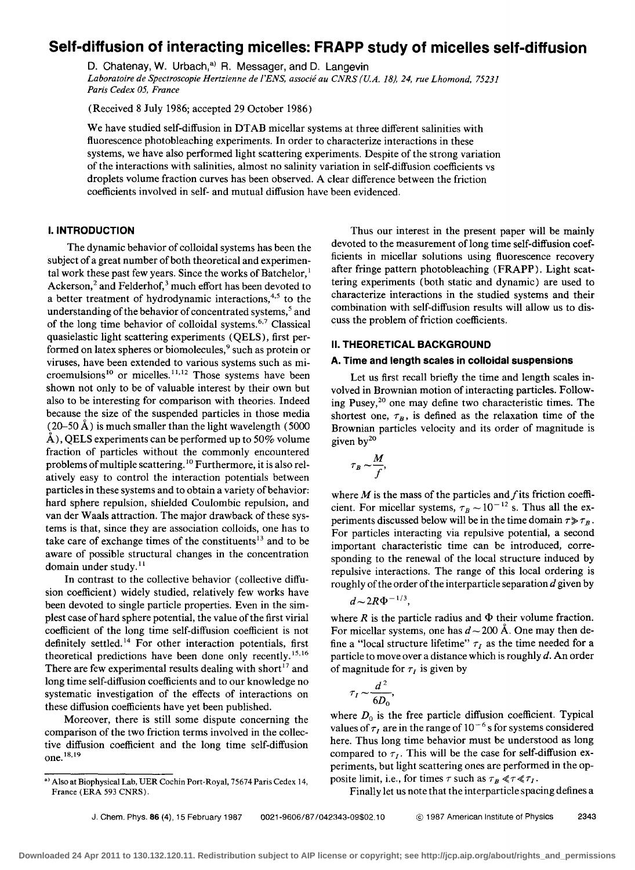# **Self-diffusion of interacting micelles: FRAPP study of micelles self-diffusion**

D. Chatenay, W. Urbach,<sup>a)</sup> R. Messager, and D. Langevin *Laboratoire de Spectroscopie Hertzienne de I'ENS, associe au CNRS (U.A.* 18),24, *rue Lhomond, 75231 Paris Cedex 05, France* 

(Received 8 July 1986; accepted 29 October 1986)

We have studied self-diffusion in DTAB micellar systems at three different salinities with fluorescence photobleaching experiments. In order to characterize interactions in these systems, we have also performed light scattering experiments. Despite of the strong variation of the interactions with salinities, almost no salinity variation in self-diffusion coefficients vs droplets volume fraction curves has been observed. A clear difference between the friction coefficients involved in self- and mutual diffusion have been evidenced.

# **I. INTRODUCTION**

The dynamic behavior of colloidal systems has been the subject of a great number of both theoretical and experimental work these past few years. Since the works of Batchelor,<sup>1</sup> Ackerson,<sup>2</sup> and Felderhof,<sup>3</sup> much effort has been devoted to a better treatment of hydrodynamic interactions,<sup>4,5</sup> to the understanding of the behavior of concentrated systems,<sup>5</sup> and of the long time behavior of colloidal systems.<sup>6,7</sup> Classical quasielastic light scattering experiments (QELS), first performed on latex spheres or biomolecules,<sup>9</sup> such as protein or viruses, have been extended to various systems such as microemulsions<sup>10</sup> or micelles.<sup>11,12</sup> Those systems have been shown not only to be of valuable interest by their own but also to be interesting for comparison with theories. Indeed because the size of the suspended particles in those media  $(20-50 \text{ Å})$  is much smaller than the light wavelength (5000)  $\AA$ ), QELS experiments can be performed up to 50% volume fraction of particles without the commonly encountered problems of multiple scattering. 10 Furthermore, it is also relatively easy to control the interaction potentials between particles in these systems and to obtain a variety of behavior: hard sphere repulsion, shielded Coulombic repulsion, and van der Waals attraction. The major drawback of these systems is that, since they are association colloids, one has to take care of exchange times of the constituents<sup>13</sup> and to be aware of possible structural changes in the concentration domain under study. $^{11}$ 

In contrast to the collective behavior (collective diffusion coefficient) widely studied, relatively few works have been devoted to single particle properties. Even in the simplest case of hard sphere potential, the value of the first virial coefficient of the long time self-diffusion coefficient is not definitely settled.<sup>14</sup> For other interaction potentials, first theoretical predictions have been done only recently.15,16 There are few experimental results dealing with short<sup>17</sup> and long time self-diffusion coefficients and to our knowledge no systematic investigation of the effects of interactions on these diffusion coefficients have yet been published.

Moreover, there is still some dispute concerning the comparison of the two friction terms involved in the collective diffusion coefficient and the long time self-diffusion one. 18. 19

Thus our interest in the present paper will be mainly devoted to the measurement of long time self-diffusion coefficients in micellar solutions using fluorescence recovery after fringe pattern photobleaching (FRAPP). Light scattering experiments (both static and dynamic) are used to characterize interactions in the studied systems and their combination with self-diffusion results will allow us to discuss the problem of friction coefficients.

# II. **THEORETICAL BACKGROUND**

#### **A. Time and length scales in colloidal suspensions**

Let us first recall briefly the time and length scales involved in Brownian motion of interacting particles. Following Pusey,2° one may define two characteristic times. The shortest one,  $\tau_B$ , is defined as the relaxation time of the Brownian particles velocity and its order of magnitude is given  $by^{20}$ 

$$
\tau_B \sim \frac{M}{f},
$$

where  $M$  is the mass of the particles and  $f$  its friction coefficient. For micellar systems,  $\tau_B \sim 10^{-12}$  s. Thus all the experiments discussed below will be in the time domain  $\tau \gg \tau_B$ . For particles interacting via repulsive potential, a second important characteristic time can be introduced, corresponding to the renewal of the local structure induced by repulsive interactions. The range of this local ordering is roughly of the order of the interparticle separation *d* given by

$$
d \sim 2R\Phi^{-1/3},
$$

where R is the particle radius and  $\Phi$  their volume fraction. For micellar systems, one has  $d \sim 200$  Å. One may then define a "local structure lifetime"  $\tau_I$  as the time needed for a particle to move over a distance which is roughly  $d$ . An order of magnitude for  $\tau_I$  is given by

$$
\tau_I \sim \frac{d^2}{6D_0},
$$

where  $D_0$  is the free particle diffusion coefficient. Typical values of  $\tau_I$  are in the range of  $10^{-6}$  s for systems considered here. Thus long time behavior must be understood as long compared to  $\tau_I$ . This will be the case for self-diffusion experiments, but light scattering ones are performed in the opposite limit, i.e., for times  $\tau$  such as  $\tau_B \ll \tau \ll \tau_I$ .

Finally let us note that the interparticle spacing defines a

a) Also at Biophysical Lab, UER Cochin Port-Royal, 75674 Paris Cedex 14, France (ERA 593 CNRS).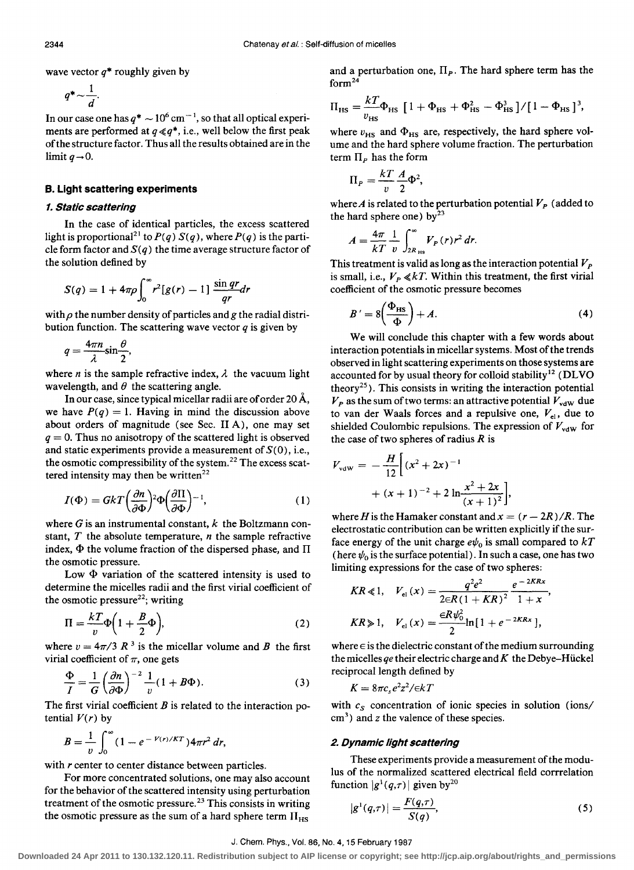wave vector *q\** roughly given by

$$
q^* \sim \frac{1}{d}.
$$

In our case one has  $q^* \sim 10^6$  cm<sup>-1</sup>, so that all optical experiments are performed at  $q \ll q^*$ , i.e., well below the first peak of the structure factor. Thus all the results obtained are in the limit  $q\rightarrow 0$ .

## B. Light scattering experiments

# 1. Static scattering

In the case of identical particles, the excess scattered light is proportional<sup>21</sup> to  $P(q) S(q)$ , where  $P(q)$  is the particle form factor and  $S(q)$  the time average structure factor of the solution defined by

$$
S(q) = 1 + 4\pi \rho \int_0^{\infty} r^2 [g(r) - 1] \frac{\sin qr}{qr} dr
$$

with  $\rho$  the number density of particles and  $g$  the radial distribution function. The scattering wave vector *q* is given by

$$
q=\frac{4\pi n}{\lambda}\sin\frac{\theta}{2},
$$

where *n* is the sample refractive index,  $\lambda$  the vacuum light wavelength, and  $\theta$  the scattering angle.

In our case, since typical micellar radii are of order 20 A, we have  $P(q) = 1$ . Having in mind the discussion above about orders of magnitude (see Sec. II A), one may set  $q = 0$ . Thus no anisotropy of the scattered light is observed and static experiments provide a measurement of  $S(0)$ , i.e., the osmotic compressibility of the system.<sup>22</sup> The excess scattered intensity may then be written $^{22}$ 

$$
I(\Phi) = GkT \left(\frac{\partial n}{\partial \Phi}\right)^2 \Phi \left(\frac{\partial \Pi}{\partial \Phi}\right)^{-1},\tag{1}
$$

where  $G$  is an instrumental constant,  $k$  the Boltzmann constant, *T* the absolute temperature, *n* the sample refractive index,  $\Phi$  the volume fraction of the dispersed phase, and  $\Pi$ the osmotic pressure.

Low  $\Phi$  variation of the scattered intensity is used to determine the micelles radii and the first virial coefficient of the osmotic pressure<sup>22</sup>; writing

$$
\Pi = \frac{k}{v} \Phi \left( 1 + \frac{B}{2} \Phi \right),\tag{2}
$$

where  $v = 4\pi/3$  *R*<sup>3</sup> is the micellar volume and *B* the first virial coefficient of  $\pi$ , one gets

$$
\frac{\Phi}{I} = \frac{1}{G} \left( \frac{\partial n}{\partial \Phi} \right)^{-2} \frac{1}{v} (1 + B\Phi). \tag{3}
$$

The first virial coefficient  $B$  is related to the interaction potential  $V(r)$  by

$$
B=\frac{1}{v}\int_0^{\infty}(1-e^{-V(r)/KT})4\pi r^2 dr,
$$

with *r* center to center distance between particles.

For more concentrated solutions, one may also account for the behavior of the scattered intensity using perturbation treatment of the osmotic pressure.<sup>23</sup> This consists in writing the osmotic pressure as the sum of a hard sphere term  $\Pi_{HS}$ 

and a perturbation one,  $\Pi_P$ . The hard sphere term has the form $^{24}$ 

$$
\Pi_{\rm HS} = \frac{kT}{v_{\rm HS}} \Phi_{\rm HS} \left[ 1 + \Phi_{\rm HS} + \Phi_{\rm HS}^2 - \Phi_{\rm HS}^3 \right] / \left[ 1 - \Phi_{\rm HS} \right]^3,
$$

where  $v_{\text{HS}}$  and  $\Phi_{\text{HS}}$  are, respectively, the hard sphere volume and the hard sphere volume fraction. The perturbation term  $\Pi_{P}$  has the form

$$
\Pi_P = \frac{kT}{v} \frac{A}{2} \Phi^2,
$$

where  $A$  is related to the perturbation potential  $V_p$  (added to the hard sphere one) by $^{23}$ 

$$
A=\frac{4\pi}{kT}\frac{1}{v}\int_{2R_{\text{Hs}}}^{\infty}V_P(r)r^2\,dr.
$$

This treatment is valid as long as the interaction potential  $V_p$ is small, i.e.,  $V_P \ll kT$ . Within this treatment, the first virial coefficient of the osmotic pressure becomes

$$
B' = 8\left(\frac{\Phi_{\rm HS}}{\Phi}\right) + A. \tag{4}
$$

We will conclude this chapter with a few words about interaction potentials in micellar systems. Most of the trends observed in light scattering experiments on those systems are accounted for by usual theory for colloid stability<sup>12</sup> (DLVO) theory<sup>25</sup>). This consists in writing the interaction potential  $V_p$  as the sum of two terms: an attractive potential  $V_{\text{vdW}}$  due to van der Waals forces and a repulsive one,  $V_{el}$ , due to shielded Coulombic repulsions. The expression of  $V_{\text{vdw}}$  for the case of two spheres of radius *R* is

$$
V_{\text{vdw}} = -\frac{H}{12} \Big[ (x^2 + 2x)^{-1} + (x + 1)^{-2} + 2 \ln \frac{x^2 + 2x}{(x + 1)^2} \Big],
$$

where *H* is the Hamaker constant and  $x = (r - 2R)/R$ . The electrostatic contribution can be written explicitly if the surface energy of the unit charge  $e\psi_0$  is small compared to  $kT$ (here  $\psi_0$  is the surface potential). In such a case, one has two

limiting expressions for the case of two spheres:  
\n
$$
KR \ll 1, \quad V_{\text{el}}(x) = \frac{q^2 e^2}{2 \in R (1 + KR)^2} \frac{e^{-2KRx}}{1 + x},
$$
\n
$$
KR \gg 1, \quad V_{\text{el}}(x) = \frac{\in R \psi_0^2}{2} \ln[1 + e^{-2KRx}],
$$

where  $\in$  is the dielectric constant of the medium surrounding the micelles *qe* their electric charge and  $K$  the Debye-Hückel reciprocal length defined by

 $K = 8\pi c_s e^2 z^2 / \epsilon kT$ 

with  $c_s$  concentration of ionic species in solution (ions/ cm3) and *z* the valence of these species.

#### 2. Dynamic light scattering

These experiments provide a measurement of the modulus of the normalized scattered electrical field corrrelation function  $|g^1(q,\tau)|$  given by<sup>20</sup>

$$
|g^{1}(q,\tau)| = \frac{F(q,\tau)}{S(q)},
$$
\n(5)

#### J. Chern. Phys., Vol. 86, No.4, 15 February 1987

**Downloaded 24 Apr 2011 to 130.132.120.11. Redistribution subject to AIP license or copyright; see http://jcp.aip.org/about/rights\_and\_permissions**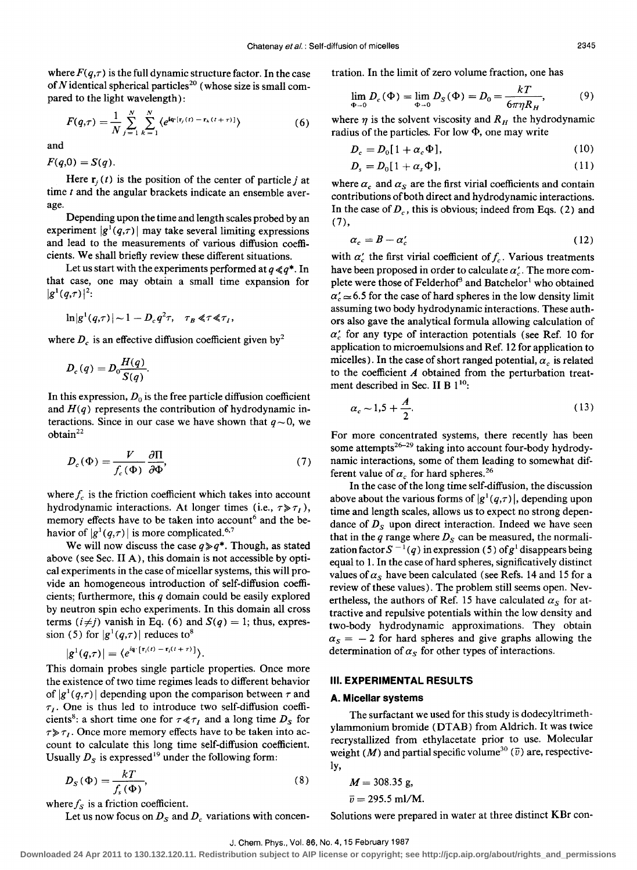where  $F(q,\tau)$  is the full dynamic structure factor. In the case of N identical spherical particles<sup>20</sup> (whose size is small compared to the light wavelength):

$$
F(q,\tau) = \frac{1}{N} \sum_{j=1}^{N} \sum_{k=1}^{N} \langle e^{i\mathbf{q} \cdot (\mathbf{r}_{j}(t) - \mathbf{r}_{k}(t+\tau))} \rangle
$$
(6)

and

 $F(q,0) = S(q)$ .

Here  $\mathbf{r}_i(t)$  is the position of the center of particle j at time t and the angular brackets indicate an ensemble average.

Depending upon the time and length scales probed by an experiment  $|g'(q,\tau)|$  may take several limiting expressions and lead to the measurements of various diffusion coefficients. We shall briefly review these different situations.

Let us start with the experiments performed at  $q \ll q^*$ . In that case, one may obtain a small time expansion for  $|g^{1}(q,\tau)|^{2}$ :

$$
\ln|g^1(q,\tau)| \sim 1 - D_c q^2 \tau, \quad \tau_B \ll \tau \ll \tau_I,
$$

where  $D_c$  is an effective diffusion coefficient given by<sup>2</sup>

$$
D_c(q) = D_0 \frac{H(q)}{S(q)}.
$$

In this expression,  $D_0$  is the free particle diffusion coefficient and  $H(q)$  represents the contribution of hydrodynamic interactions. Since in our case we have shown that  $q \sim 0$ , we  $obtain<sup>22</sup>$ 

$$
D_c(\Phi) = \frac{V}{f_c(\Phi)} \frac{\partial \Pi}{\partial \Phi'},
$$
 (7)

where  $f_c$  is the friction coefficient which takes into account hydrodynamic interactions. At longer times (i.e.,  $\tau \gg \tau_I$ ), memory effects have to be taken into account<sup>6</sup> and the behavior of  $|g^1(q,\tau)|$  is more complicated.<sup>6,7</sup>

We will now discuss the case  $q \geq q^*$ . Though, as stated above (see Sec. II A), this domain is not accessible by optical experiments in the case of micellar systems, this will provide an homogeneous introduction of self-diffusion coefficients; furthermore, this *q* domain could be easily explored by neutron spin echo experiments. In this domain all cross terms  $(i \neq j)$  vanish in Eq. (6) and  $S(q) = 1$ ; thus, expression (5) for  $|g'(q,\tau)|$  reduces to<sup>8</sup>

$$
|g^1(q,\tau)|=\langle e^{i\mathbf{q}\cdot[\mathbf{r}_i(t)-\mathbf{r}_i(t+\tau)]}\rangle.
$$

This domain probes single particle properties. Once more the existence of two time regimes leads to different behavior of  $|g'(q,\tau)|$  depending upon the comparison between  $\tau$  and  $\tau_I$ . One is thus led to introduce two self-diffusion coefficients<sup>8</sup>: a short time one for  $\tau \ll \tau_I$  and a long time  $D_s$  for  $\tau \gg \tau_I$ . Once more memory effects have to be taken into account to calculate this long time self-diffusion coefficient.

Usually 
$$
D_S
$$
 is expressed<sup>19</sup> under the following form:  
\n
$$
D_S(\Phi) = \frac{kT}{f_s(\Phi)},
$$
\n(8)

where  $f_s$  is a friction coefficient.

Let us now focus on  $D_s$  and  $D_c$  variations with concen-

tration. In the limit of zero volume fraction, one has

$$
\lim_{\Phi \to 0} D_c(\Phi) = \lim_{\Phi \to 0} D_S(\Phi) = D_0 = \frac{kT}{6\pi \eta R_H},
$$
 (9)

where  $\eta$  is the solvent viscosity and  $R_H$  the hydrodynamic radius of the particles. For low  $\Phi$ , one may write

$$
D_c = D_0[1 + \alpha_c \Phi], \qquad (10)
$$

$$
D_s = D_0[1 + \alpha_s \Phi], \qquad (11)
$$

where  $\alpha_c$  and  $\alpha_s$  are the first virial coefficients and contain contributions of both direct and hydrodynamic interactions. In the case of  $D_c$ , this is obvious; indeed from Eqs. (2) and  $(7),$ 

$$
\alpha_c = B - \alpha'_c \tag{12}
$$

with  $\alpha'_{c}$  the first virial coefficient of  $f_{c}$ . Various treatments have been proposed in order to calculate  $\alpha'$ . The more complete were those of Felderhof<sup>3</sup> and Batchelor<sup>1</sup> who obtained  $\alpha'$   $\approx$  6.5 for the case of hard spheres in the low density limit assuming two body hydrodynamic interactions. These authors also gave the analytical formula allowing calculation of  $\alpha'_{c}$  for any type of interaction potentials (see Ref. 10 for application to microemulsions and Ref. 12 for application to micelles). In the case of short ranged potential,  $\alpha_c$  is related to the coefficient  $A$  obtained from the perturbation treatment described in Sec. II B  $1^{10}$ :

$$
a_c \sim 1.5 + \frac{A}{2}.\tag{13}
$$

For more concentrated systems, there recently has been some attempts<sup>26-29</sup> taking into account four-body hydrodynamic interactions, some of them leading to somewhat different value of  $\alpha_c$  for hard spheres.<sup>26</sup>

In the case of the long time self-diffusion, the discussion above about the various forms of  $|g'(q,\tau)|$ , depending upon time and length scales, allows us to expect no strong dependance of  $D_s$  upon direct interaction. Indeed we have seen that in the  $q$  range where  $D<sub>S</sub>$  can be measured, the normalization factor  $S^{-1}(q)$  in expression (5) of  $g<sup>1</sup>$  disappears being equal to 1. In the case of hard spheres, significatively distinct values of  $\alpha_s$  have been calculated (see Refs. 14 and 15 for a review of these values). The problem still seems open. Nevertheless, the authors of Ref. 15 have calculated  $\alpha_s$  for attractive and repulsive potentials within the low density and two-body hydrodynamic approximations. They obtain  $\alpha_s = -2$  for hard spheres and give graphs allowing the determination of  $\alpha_s$  for other types of interactions.

## **III. EXPERIMENTAL RESULTS**

#### **A. Micellar systems**

The surfactant we used for this study is dodecyltrimethylammonium bromide (DTAB) from Aldrich. It was twice recrystallized from ethylacetate prior to use. Molecular weight (M) and partial specific volume<sup>30</sup> ( $\overline{v}$ ) are, respectively,

$$
M = 308.35
$$
 g,

 $\bar{v} = 295.5 \text{ ml/M}.$ 

Solutions were prepared in water at three distinct KBr con-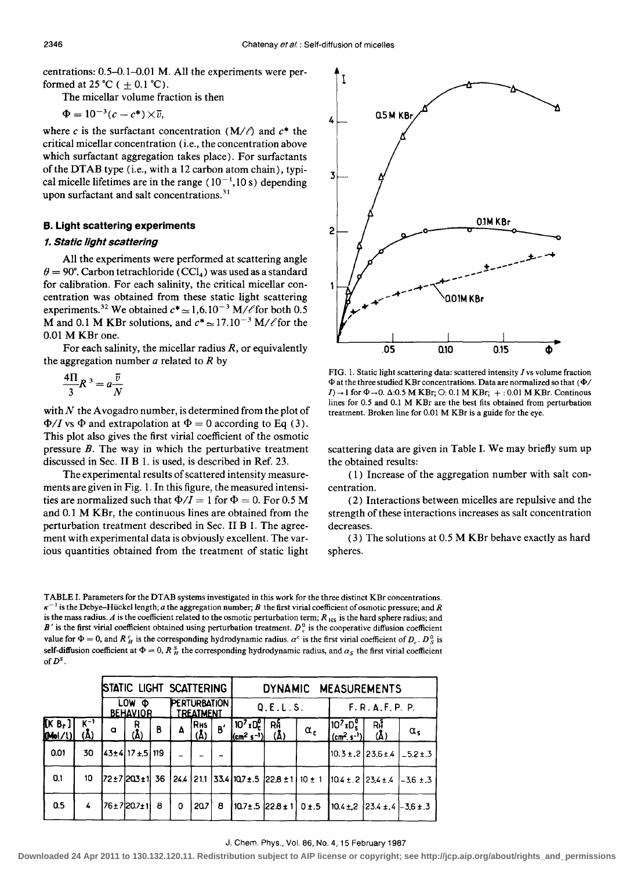centrations: 0.5-0.1-0.01 M. All the experiments were performed at 25 °C (  $+$  0.1 °C).

The micellar volume fraction is then

 $\Phi = 10^{-3} (c - c^*) \times \overline{v},$ 

where *c* is the surfactant concentration  $(M/\ell)$  and  $c^*$  the critical micellar concentration (i.e., the concentration above which surfactant aggregation takes place). For surfactants of the DTAB type (i.e., with a 12 carbon atom chain), typical micelle lifetimes are in the range  $(10^{-1}, 10 \text{ s})$  depending upon surfactant and salt concentrations.<sup>31</sup>

## B. Light scattering experiments

## 1. Static light scattering

All the experiments were performed at scattering angle  $\theta = 90^{\circ}$ . Carbon tetrachloride (CCl<sub>4</sub>) was used as a standard for calibration. For each salinity, the critical micellar concentration was obtained from these static light scattering experiments.<sup>32</sup> We obtained  $c^* \approx 1,6.10^{-3}$  M/ $\ell$  for both 0.5 M and 0.1 M KBr solutions, and  $c^* \approx 17.10^{-3}$  M/ $\ell$  for the 0.01 M KBr one.

For each salinity, the micellar radius *R,* or equivalently the aggregation number  $a$  related to  $R$  by

$$
\frac{4\Pi}{3}R^3 = a\frac{\overline{v}}{N}
$$

with  $N$  the Avogadro number, is determined from the plot of  $\Phi/I$  vs  $\Phi$  and extrapolation at  $\Phi = 0$  according to Eq (3). This plot also gives the first virial coefficient of the osmotic pressure  $B$ . The way in which the perturbative treatment discussed in Sec. II B 1. is used, is described in Ref. 23.

The experimental results of scattered intensity measurements are given in Fig. 1. In this figure, the measured intensities are normalized such that  $\Phi/I = 1$  for  $\Phi = 0$ . For 0.5 M and 0.1 M KBr, the continuous lines are obtained from the perturbation treatment described in Sec. II B 1. The agreement with experimental data is obviously excellent. The various quantities obtained from the treatment of static light



FIG. 1. Static light scattering data: scattered intensity I vs volume fraction  $\Phi$  at the three studied KBr concentrations. Data are normalized so that ( $\Phi/$  $I) \rightarrow 1$  for  $\Phi \rightarrow 0$ .  $\Delta:0.5$  M KBr;  $\odot:0.1$  M KBr;  $+:0.01$  M KBr. Continous lines for 0.5 and 0.1 M KBr are the best fits obtained from perturbation treatment. Broken line for 0.01 M KBr is a guide for the eye.

scattering data are given in Table I. We may briefly sum up the obtained results:

( 1) Increase of the aggregation number with salt concentration.

(2) Interactions between micelles are repulsive and the strength of these interactions increases as salt concentration decreases.

(3) The solutions at 0.5 M KBr behave exactly as hard spheres.

TABLE I. Parameters for the DT AB systems investigated in this work for the three distinct KBr concentrations.  $\kappa^{-1}$  is the Debye-Hückel length; *a* the aggregation number; *B* the first virial coefficient of osmotic pressure; and *R* is the mass radius. A is the coefficient related to the osmotic perturbation term;  $R_{HS}$  is the hard sphere radius; and  $B'$  is the first virial coefficient obtained using perturbation treatment.  $D_c^0$  is the cooperative diffusion coefficient value for  $\Phi = 0$ , and *R*  $_H^c$  is the corresponding hydrodynamic radius.  $a^c$  is the first virial coefficient of  $D_c$ .  $D_s^o$  is self-diffusion coefficient at  $\Phi = 0$ ,  $R_A^S$  the corresponding hydrodynamic radius, and  $\alpha_S$  the first virial coefficient of  $D^s$ .

|                      |                            | STATIC LIGHT SCATTERING      |                 |   |                                         |                   |    | DYNAMIC MEASUREMENTS                               |                                       |            |                                                                |                   |                  |
|----------------------|----------------------------|------------------------------|-----------------|---|-----------------------------------------|-------------------|----|----------------------------------------------------|---------------------------------------|------------|----------------------------------------------------------------|-------------------|------------------|
|                      |                            | LOW.<br>Ф<br><b>BEHAVIOR</b> |                 |   | <b>PERTURBATION</b><br><b>TREATMENT</b> |                   |    | Q.E.L.S.                                           |                                       |            | F.R.A.F.P.P. P.                                                |                   |                  |
| $(K B_r)$<br>[Mol/l] | $K_{-1}$<br>$(\mathbf{A})$ | $\sigma$                     | Ŗ<br>(Å)        | B | A                                       | RHS<br>$(\Delta)$ | B' | $ 10^7x0_c^0 $<br>$ (\text{cm}^2 \text{ s}^{-1}) $ | Rh<br>$(\Delta)$                      | $\alpha_c$ | $10^7$ xD <sub>s</sub><br>$(cm2. s-1)$                         | RĤ<br>$(\Lambda)$ | $\alpha_{s}$     |
| 0.01                 | 30                         |                              | 43±4 17±5 119   |   |                                         |                   |    |                                                    |                                       |            | $10.3 \pm .2$ 23.6 ± 4                                         |                   | $1 - 5.2 \pm .3$ |
| 0.1                  | 10                         |                              | 172±7 203±1  36 |   |                                         |                   |    |                                                    |                                       |            | $24.4$ 21.1 33.4 10.7 ± .5 22.8 ± 1 10 ± 1 10.4 ± .2 23.4 ± .4 |                   | $-3.6 \pm .3$    |
| 0.5                  | 4                          |                              | 76±7 20.7±1     | 8 | 0                                       | 20.7              | 8  |                                                    | $10.7 \pm .5$ 22.8 $\pm$ 1 0 $\pm .5$ |            | $10.4 \pm 2$   23.4 $\pm$ .4   -3.6 $\pm$ .3                   |                   |                  |

#### J. Chem. Phys., Vol. 86, No.4, 15 February 1987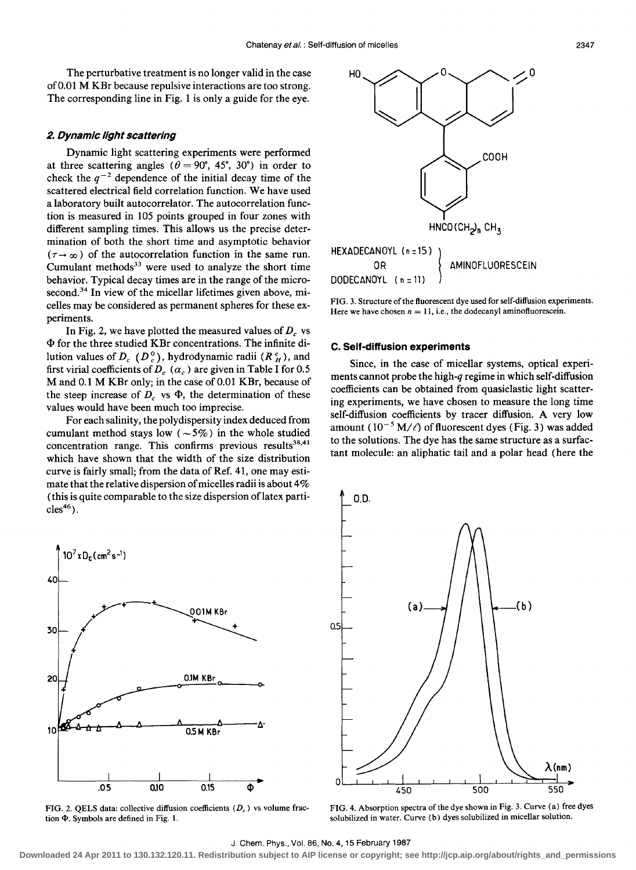The perturbative treatment is no longer valid in the case of 0.01 M KBr because repulsive interactions are too strong. The corresponding line in Fig. 1 is only a guide for the eye.

### **2. Dynamic light scattering**

Dynamic light scattering experiments were performed at three scattering angles ( $\theta = 90^{\circ}$ , 45°, 30°) in order to check the  $q^{-2}$  dependence of the initial decay time of the scattered electrical field correlation function. We have used a laboratory built autocorrelator. The autocorrelation function is measured in 105 points grouped in four zones with different sampling times. This allows us the precise determination of both the short time and asymptotic behavior  $(\tau \rightarrow \infty)$  of the autocorrelation function in the same run. Cumulant methods $33$  were used to analyze the short time behavior. Typical decay times are in the range of the microsecond.<sup>34</sup> In view of the micellar lifetimes given above, micelles may be considered as permanent spheres for these experiments.

In Fig. 2, we have plotted the measured values of  $D<sub>c</sub>$  vs  $\Phi$  for the three studied KBr concentrations. The infinite dilution values of  $D_c$  ( $D_c^0$ ), hydrodynamic radii ( $R_H^c$ ), and first virial coefficients of  $D_c$  ( $\alpha_c$ ) are given in Table I for 0.5 M and 0.1 M KBr only; in the case of 0.01 KBr, because of the steep increase of  $D_c$  vs  $\Phi$ , the determination of these values would have been much too imprecise.

For each salinity, the polydispersity index deduced from cumulant method stays low ( $\sim$  5%) in the whole studied concentration range. This confirms previous results<sup>38,41</sup> which have shown that the width of the size distribution curve is fairly small; from the data of Ref. 41, one may estimate that the relative dispersion of micelles radii is about  $4\%$ (this is quite comparable to the size dispersion of latex parti $cles<sup>46</sup>$ ).



FIG. 2. QELS data: collective diffusion coefficients  $(D<sub>c</sub>)$  vs volume fraction  $\Phi$ . Symbols are defined in Fig. 1.



FIG. 3. Structure of the fluorescent dye used for self-diffusion experiments. Here we have chosen  $n = 11$ , i.e., the dodecanyl aminofluorescein.

# **C. Self-diffusion experiments**

Since, in the case of micellar systems, optical experiments cannot probe the high-q regime in which self-diffusion coefficients can be obtained from quasielastic light scattering experiments, we have chosen to measure the long time self-diffusion coefficients by tracer diffusion. A very low amount  $(10^{-5} M/\ell)$  of fluorescent dyes (Fig. 3) was added to the solutions. The dye has the same structure as a surfactant molecule: an aliphatic tail and a polar head (here the



FIG. 4. Absorption spectra of the dye shown in Fig. 3. Curve (a) free dyes solubilized in water. Curve (b) dyes solubilized in micellar solution.

#### J. Chem. Phys., Vol. 86, No.4, 15 February 1987

**Downloaded 24 Apr 2011 to 130.132.120.11. Redistribution subject to AIP license or copyright; see http://jcp.aip.org/about/rights\_and\_permissions**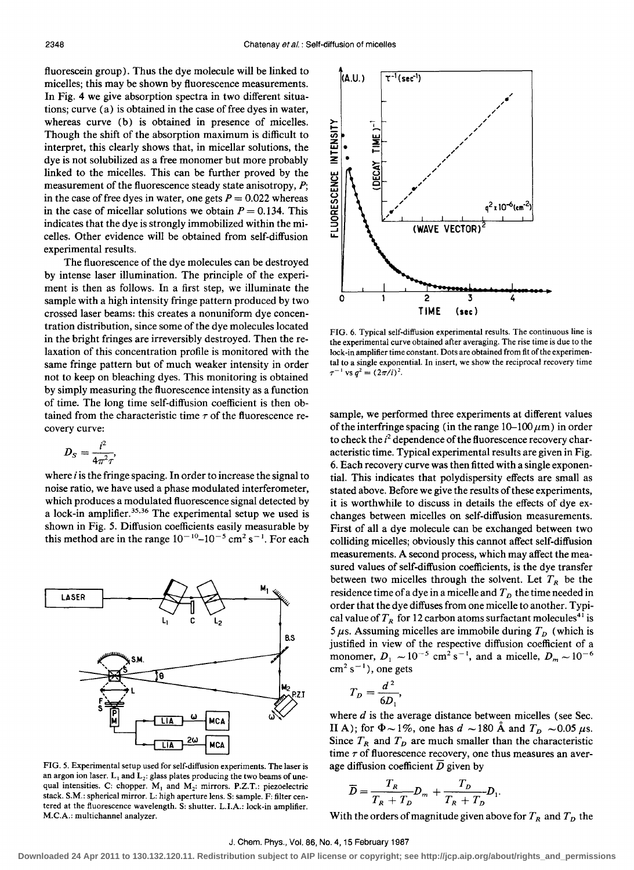fluorescein group). Thus the dye molecule will be linked to micelles; this may be shown by fluorescence measurements. In Fig. 4 we give absorption spectra in two different situations; curve  $(a)$  is obtained in the case of free dyes in water, whereas curve (b) is obtained in presence of micelles. Though the shift of the absorption maximum is difficult to interpret, this clearly shows that, in micellar solutions, the dye is not solubilized as a free monomer but more probably linked to the micelles. This can be further proved by the measurement of the fluorescence steady state anisotropy, *P;*  in the case of free dyes in water, one gets  $P = 0.022$  whereas in the case of micellar solutions we obtain  $P = 0.134$ . This indicates that the dye is strongly immobilized within the micelles. Other evidence will be obtained from self-diffusion experimental results.

The fluorescence of the dye molecules can be destroyed by intense laser illumination. The principle of the experiment is then as follows. In a first step, we illuminate the sample with a high intensity fringe pattern produced by two crossed laser beams: this creates a nonuniform dye concentration distribution, since some of the dye molecules located in the bright fringes are irreversibly destroyed. Then the relaxation of this concentration profile is monitored with the same fringe pattern but of much weaker intensity in order not to keep on bleaching dyes. This monitoring is obtained by simply measuring the fluorescence intensity as a function of time. The long time self-diffusion coefficient is then obtained from the characteristic time  $\tau$  of the fluorescence recovery curve:

$$
D_S=\frac{i^2}{4\pi^2\tau},
$$

where  $i$  is the fringe spacing. In order to increase the signal to noise ratio, we have used a phase modulated interferometer, which produces a modulated fluorescence signal detected by a lock-in amplifier. 35,36 The experimental setup we used is shown in Fig. 5. Diffusion coefficients easily measurable by this method are in the range  $10^{-10}$  -  $10^{-5}$  cm<sup>2</sup> s<sup>-1</sup>. For each



FIG. 5. Experimental setup used for self-diffusion experiments. The laser is an argon ion laser.  $L_1$  and  $L_2$ : glass plates producing the two beams of unequal intensities. C: chopper.  $M_1$  and  $M_2$ : mirrors. P.Z.T.: piezoelectric stack. S.M.: spherical mirror. L: high aperture lens. S: sample. F: filter centered at the fluorescence wavelength. S: shutter. LI.A.: lock-in amplifier. M.C.A.: multichannel analyzer.



FIG. 6. Typical self-diffusion experimental results. The continuous line is the experimental curve obtained after averaging. The rise time is due to the lock-in amplifier time constant. Dots are obtained from fit of the experimental to a single exponentiaL In insert, we show the reciprocal recovery time  $\tau^{-1}$  vs  $q^2 = (2\pi/i)^2$ .

sample, we performed three experiments at different values of the interfringe spacing (in the range  $10-100 \mu m$ ) in order to check the  $i^2$  dependence of the fluorescence recovery characteristic time. Typical experimental results are given in Fig. 6. Each recovery curve was then fitted with a single exponential. This indicates that polydispersity effects are small as stated above. Before we give the results of these experiments, it is worthwhile to discuss in details the effects of dye exchanges between micelles on self-diffusion measurements, First of all a dye molecule can be exchanged between two colliding micelles; obviously this cannot affect self-diffusion measurements, A second process, which may affect the measured values of self-diffusion coefficients, is the dye transfer between two micelles through the solvent. Let  $T_R$  be the residence time of a dye in a micelle and  $T<sub>D</sub>$  the time needed in order that the dye diffuses from one micelle to another. Typical value of  $T_R$  for 12 carbon atoms surfactant molecules<sup>41</sup> is 5  $\mu$ s. Assuming micelles are immobile during  $T_D$  (which is justified in view of the respective diffusion coefficient of a monomer,  $D_1 \sim 10^{-5}$  cm<sup>2</sup> s<sup>-1</sup>, and a micelle,  $D_m \sim 10^{-6}$  $cm<sup>2</sup> s<sup>-1</sup>$ ), one gets

$$
T_D=\frac{d^2}{6D_1},
$$

where *d* is the average distance between micelles (see Sec. II A); for  $\Phi \sim 1\%$ , one has  $d \sim 180$  Å and  $T_D \sim 0.05 \mu s$ . Since  $T_R$  and  $T_D$  are much smaller than the characteristic time  $\tau$  of fluorescence recovery, one thus measures an average diffusion coefficient  $\overline{D}$  given by

$$
\overline{D} = \frac{T_R}{T_R + T_D} D_m + \frac{T_D}{T_R + T_D} D_1.
$$

With the orders of magnitude given above for  $T_R$  and  $T_D$  the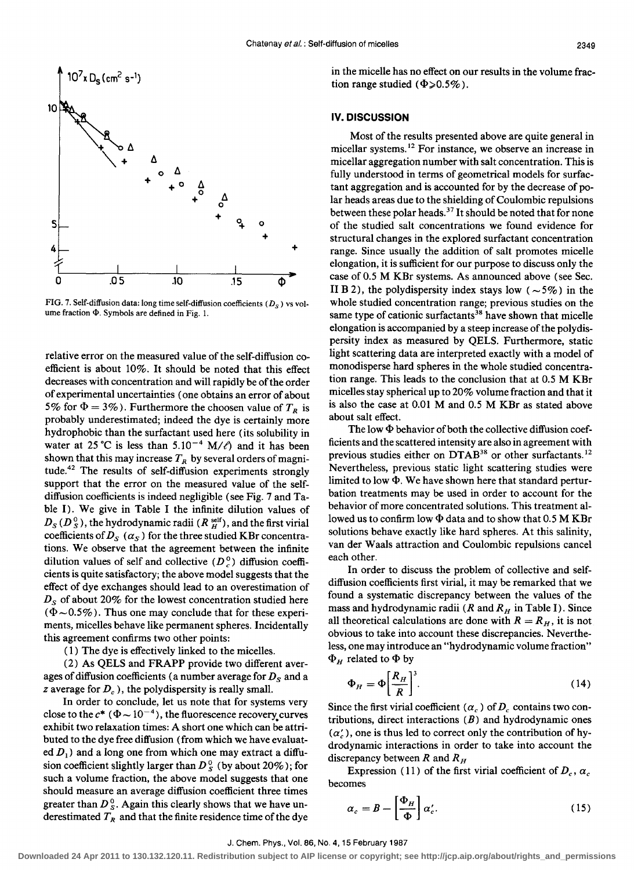

FIG. 7. Self-diffusion data: long time self-diffusion coefficients ( $D_S$ ) vs volume fraction  $\Phi$ . Symbols are defined in Fig. 1.

relative error on the measured value of the self-diffusion coefficient is about 10%. It should be noted that this effect decreases with concentration and will rapidly be of the order of experimental uncertainties (one obtains an error of about 5% for  $\Phi = 3\%$ ). Furthermore the choosen value of  $T_R$  is probably underestimated; indeed the dye is certainly more hydrophobic than the surfactant used here (its solubility in water at 25 °C is less than 5.10<sup>-4</sup> M/ $\ell$ ) and it has been shown that this may increase  $T_R$  by several orders of magnitude.42 The results of self-diffusion experiments strongly support that the error on the measured value of the selfdiffusion coefficients is indeed negligible (see Fig. 7 and Table I). We give in Table I the infinite dilution values of  $D_S (D_S^0)$ , the hydrodynamic radii  $(R_H^{\text{self}})$ , and the first virial coefficients of  $D_s$  ( $\alpha_s$ ) for the three studied KBr concentrations. We observe that the agreement between the infinite dilution values of self and collective  $(D<sub>e</sub><sup>0</sup>)$  diffusion coefficients is quite satisfactory; the above model suggests that the effect of dye exchanges should lead to an overestimation of  $D<sub>S</sub>$  of about 20% for the lowest concentration studied here  $(\Phi \sim 0.5\%)$ . Thus one may conclude that for these experiments, micelles behave like permanent spheres. Incidentally this agreement confirms two other points:

( 1) The dye is effectively linked to the micelles.

(2) As QELS and FRAPP provide two different averages of diffusion coefficients (a number average for  $D<sub>S</sub>$  and a *z* average for  $D_c$ , the polydispersity is really small.

In order to conclude, let us note that for systems very close to the  $c^*$  ( $\Phi \sim 10^{-4}$ ), the fluorescence recovery curves exhibit two relaxation times: A short one which can be attributed to the dye free diffusion (from which we have evaluated  $D_1$ ) and a long one from which one may extract a diffusion coefficient slightly larger than  $D_S^0$  (by about 20%); for such a volume fraction, the above model suggests that one should measure an average diffusion coefficient three times greater than  $D_{s}^{0}$ . Again this clearly shows that we have underestimated  $T_R$  and that the finite residence time of the dye in the micelle has no effect on our results in the volume fraction range studied ( $\Phi \ge 0.5\%$ ).

# **IV. DISCUSSION**

Most of the results presented above are quite general in micellar systems.<sup>12</sup> For instance, we observe an increase in micellar aggregation number with salt concentration. This is fully understood in terms of geometrical models for surfactant aggregation and is accounted for by the decrease of polar heads areas due to the shielding of Coulombic repulsions between these polar heads.<sup>37</sup> It should be noted that for none of the studied salt concentrations we found evidence for structural changes in the explored surfactant concentration range. Since usually the addition of salt promotes micelle elongation, it is sufficient for our purpose to discuss only the case of 0.5 M KBr systems. As announced above (see Sec. II B 2), the polydispersity index stays low ( $\sim$  5%) in the whole studied concentration range; previous studies on the same type of cationic surfactants<sup>38</sup> have shown that micelle elongation is accompanied by a steep increase of the polydispersity index as measured by QELS. Furthermore, static light scattering data are interpreted exactly with a model of monodisperse hard spheres in the whole studied concentration range. This leads to the conclusion that at 0.5 M KBr micelles stay spherical up to 20% volume fraction and that it is also the case at 0.01 M and 0.5 M KBr as stated above about salt effect.

The low  $\Phi$  behavior of both the collective diffusion coefficients and the scattered intensity are also in agreement with previous studies either on DTAB<sup>38</sup> or other surfactants.<sup>12</sup> Nevertheless, previous static light scattering studies were limited to low  $\Phi$ . We have shown here that standard perturbation treatments may be used in order to account for the behavior of more concentrated solutions. This treatment allowed us to confirm low  $\Phi$  data and to show that 0.5 M KBr solutions behave exactly like hard spheres. At this salinity, van der Waals attraction and Coulombic repulsions cancel each other.

In order to discuss the problem of collective and selfdiffusion coefficients first virial, it may be remarked that we found a systematic discrepancy between the values of the mass and hydrodynamic radii ( $R$  and  $R_H$  in Table I). Since all theoretical calculations are done with  $R = R<sub>H</sub>$ , it is not obvious to take into account these discrepancies. Nevertheless, one may introduce an "hydrodynamic volume fraction"  $\Phi_H$  related to  $\Phi$  by

$$
\Phi_H = \Phi \left[ \frac{R_H}{R} \right]^3. \tag{14}
$$

Since the first virial coefficient  $(a_c)$  of  $D_c$  contains two contributions, direct interactions  $(B)$  and hydrodynamic ones  $(\alpha'_c)$ , one is thus led to correct only the contribution of hydrodynamic interactions in order to take into account the discrepancy between R and  $R<sub>H</sub>$ 

Expression (11) of the first virial coefficient of  $D_c$ ,  $\alpha_c$ becomes

$$
\alpha_c = B - \left[\frac{\Phi_H}{\Phi}\right] \alpha_c'.
$$
 (15)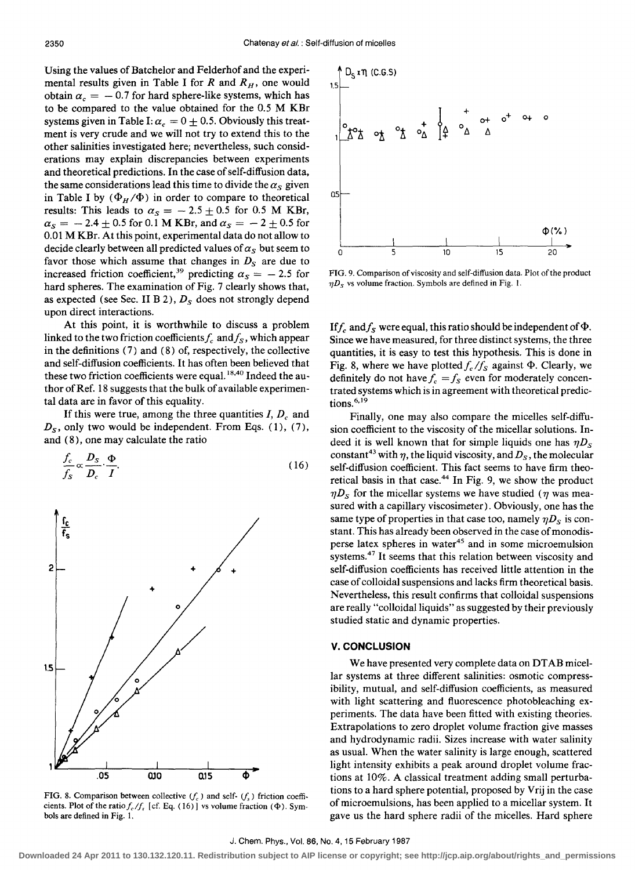Using the values of Batchelor and Felderhof and the experimental results given in Table I for  $R$  and  $R_H$ , one would obtain  $\alpha_c = -0.7$  for hard sphere-like systems, which has to be compared to the value obtained for the 0.5 M KBr systems given in Table I:  $\alpha_c = 0 + 0.5$ . Obviously this treatment is very crude and we will not try to extend this to the other salinities investigated here; nevertheless, such considerations may explain discrepancies between experiments and theoretical predictions. In the case of self-diffusion data, the same considerations lead this time to divide the  $\alpha_s$  given in Table I by  $(\Phi_H/\Phi)$  in order to compare to theoretical results: This leads to  $\alpha_s = -2.5 \pm 0.5$  for 0.5 M KBr,  $\alpha_s = -2.4 + 0.5$  for 0.1 M KBr, and  $\alpha_s = -2 + 0.5$  for 0.01 M KBr. At this point, experimental data do not allow to decide clearly between all predicted values of  $\alpha_s$  but seem to favor those which assume that changes in  $D<sub>S</sub>$  are due to increased friction coefficient,<sup>39</sup> predicting  $\alpha_s = -2.5$  for hard spheres. The examination of Fig. 7 clearly shows that, as expected (see Sec. II B 2),  $D<sub>S</sub>$  does not strongly depend upon direct interactions.

At this point, it is worthwhile to discuss a problem linked to the two friction coefficients  $f_c$  and  $f_s$ , which appear in the definitions (7) and (8) of, respectively, the collective and self-diffusion coefficients. It has often been believed that these two friction coefficients were equal. 18,40 Indeed the author of Ref. 18 suggests that the bulk of available experimental data are in favor of this equality.

If this were true, among the three quantities *I, D<sub>c</sub>* and  $D_s$ , only two would be independent. From Eqs. (1), (7), and (8), one may calculate the ratio

$$
\frac{f_c}{f_S} \propto \frac{D_S}{D_c} \cdot \frac{\Phi}{I}.
$$
\n(16)



FIG. 8. Comparison between collective  $(f_c)$  and self-  $(f_s)$  friction coefficients. Plot of the ratio  $f_c/f_s$  [cf. Eq. (16)] vs volume fraction ( $\Phi$ ). Symbols are defined in Fig. 1.



FIG. 9. Comparison of viscosity and self-diffusion data. Plot of the product  $\eta D_S$  vs volume fraction. Symbols are defined in Fig. 1.

If  $f_c$  and  $f_s$  were equal, this ratio should be independent of  $\Phi$ . Since we have measured, for three distinct systems, the three quantities, it is easy to test this hypothesis. This is done in Fig. 8, where we have plotted  $f_c/f_s$  against  $\Phi$ . Clearly, we definitely do not have  $f_c = f_s$  even for moderately concentrated systems which is in agreement with theoretical predictions. $6,19$ 

Finally, one may also compare the micelles self-diffusion coefficient to the viscosity of the micellar solutions. Indeed it is well known that for simple liquids one has  $\eta D_s$ constant<sup>43</sup> with  $\eta$ , the liquid viscosity, and  $D_s$ , the molecular self-diffusion coefficient. This fact seems to have firm theoretical basis in that case.<sup>44</sup> In Fig. 9, we show the product  $\eta D_s$  for the micellar systems we have studied ( $\eta$  was measured with a capillary viscosimeter) . Obviously, one has the same type of properties in that case too, namely  $\eta D_s$  is constant. This has already been observed in the case of monodisperse latex spheres in water<sup>45</sup> and in some microemulsion systems.<sup>47</sup> It seems that this relation between viscosity and self-diffusion coefficients has received little attention in the case of colloidal suspensions and lacks firm theoretical basis. Nevertheless, this result confirms that colloidal suspensions are really "colloidal liquids" as suggested by their previously studied static and dynamic properties.

## **v. CONCLUSION**

We have presented very complete data on DT AB micellar systems at three different salinities: osmotic compressibility, mutual, and self-diffusion coefficients, as measured with light scattering and fluorescence photobleaching experiments. The data have been fitted with existing theories. Extrapolations to zero droplet volume fraction give masses and hydrodynamic radii. Sizes increase with water salinity as usual. When the water salinity is large enough, scattered light intensity exhibits a peak around droplet volume fractions at 10%. A classical treatment adding small perturbations to a hard sphere potential, proposed by Vrij in the case of microemulsions, has been applied to a micellar system. It gave us the hard sphere radii of the micelles. Hard sphere